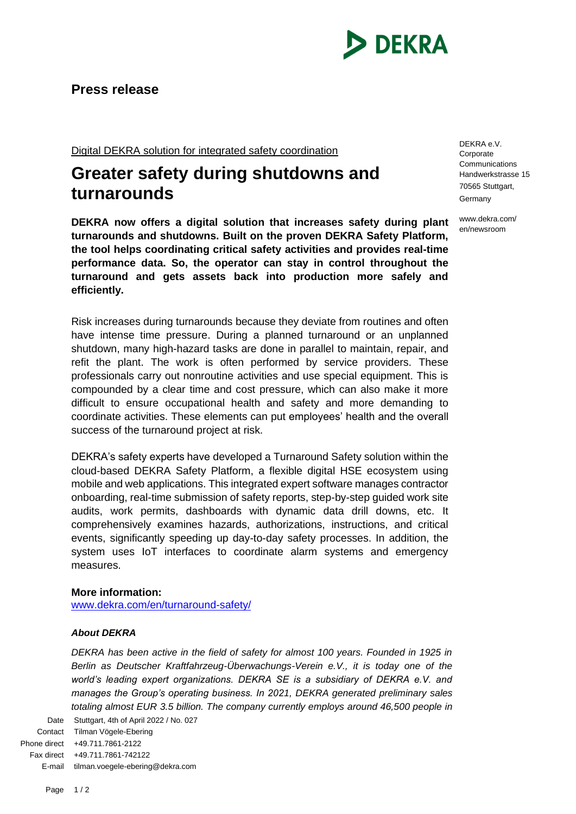

Digital DEKRA solution for integrated safety coordination

## **Greater safety during shutdowns and turnarounds**

**DEKRA now offers a digital solution that increases safety during plant turnarounds and shutdowns. Built on the proven DEKRA Safety Platform, the tool helps coordinating critical safety activities and provides real-time performance data. So, the operator can stay in control throughout the turnaround and gets assets back into production more safely and efficiently.** 

Risk increases during turnarounds because they deviate from routines and often have intense time pressure. During a planned turnaround or an unplanned shutdown, many high-hazard tasks are done in parallel to maintain, repair, and refit the plant. The work is often performed by service providers. These professionals carry out nonroutine activities and use special equipment. This is compounded by a clear time and cost pressure, which can also make it more difficult to ensure occupational health and safety and more demanding to coordinate activities. These elements can put employees' health and the overall success of the turnaround project at risk.

DEKRA's safety experts have developed a Turnaround Safety solution within the cloud-based DEKRA Safety Platform, a flexible digital HSE ecosystem using mobile and web applications. This integrated expert software manages contractor onboarding, real-time submission of safety reports, step-by-step guided work site audits, work permits, dashboards with dynamic data drill downs, etc. It comprehensively examines hazards, authorizations, instructions, and critical events, significantly speeding up day-to-day safety processes. In addition, the system uses IoT interfaces to coordinate alarm systems and emergency measures.

## **More information:**

[www.dekra.com/en/turnaround-safety/](http://www.dekra.com/en/turnaround-safety/)

## *About DEKRA*

*DEKRA has been active in the field of safety for almost 100 years. Founded in 1925 in Berlin as Deutscher Kraftfahrzeug-Überwachungs-Verein e.V., it is today one of the*  world's leading expert organizations. DEKRA SE is a subsidiary of DEKRA e.V. and *manages the Group's operating business. In 2021, DEKRA generated preliminary sales totaling almost EUR 3.5 billion. The company currently employs around 46,500 people in* 

Date Stuttgart, 4th of April 2022 / No. 027 Contact Tilman Vögele-Ebering Phone direct +49.711.7861-2122 Fax direct +49.711.7861-742122 E-mail tilman.voegele-ebering@dekra.com

DEKRA e.V. Corporate **Communications** Handwerkstrasse 15 70565 Stuttgart, Germany

www.dekra.com/ en/newsroom